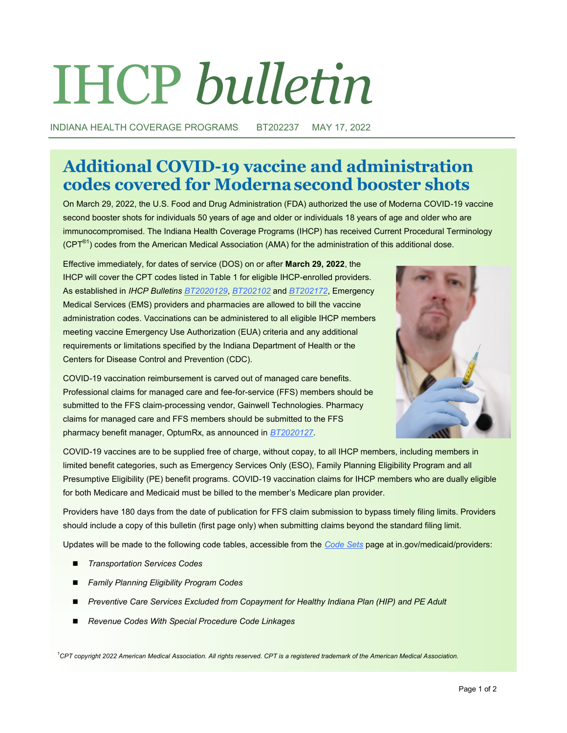# IHCP *bulletin*

INDIANA HEALTH COVERAGE PROGRAMS BT202237 MAY 17, 2022

# **Additional COVID-19 vaccine and administration codes covered for Modernasecond booster shots**

On March 29, 2022, the U.S. Food and Drug Administration (FDA) authorized the use of Moderna COVID-19 vaccine second booster shots for individuals 50 years of age and older or individuals 18 years of age and older who are immunocompromised. The Indiana Health Coverage Programs (IHCP) has received Current Procedural Terminology (CPT®1) codes from the American Medical Association (AMA) for the administration of this additional dose.

Effective immediately, for dates of service (DOS) on or after **March 29, 2022**, the IHCP will cover the CPT codes listed in Table 1 for eligible IHCP-enrolled providers. As established in *IHCP Bulletins [BT2020129](http://provider.indianamedicaid.com/ihcp/Bulletins/BT2020129.pdf)*, *[BT202102](http://provider.indianamedicaid.com/ihcp/Bulletins/BT202102.pdf)* and *[BT202172](http://provider.indianamedicaid.com/ihcp/Bulletins/BT202172.pdf)*, Emergency Medical Services (EMS) providers and pharmacies are allowed to bill the vaccine administration codes. Vaccinations can be administered to all eligible IHCP members meeting vaccine Emergency Use Authorization (EUA) criteria and any additional requirements or limitations specified by the Indiana Department of Health or the Centers for Disease Control and Prevention (CDC).



COVID-19 vaccination reimbursement is carved out of managed care benefits. Professional claims for managed care and fee-for-service (FFS) members should be submitted to the FFS claim-processing vendor, Gainwell Technologies. Pharmacy claims for managed care and FFS members should be submitted to the FFS pharmacy benefit manager, OptumRx, as announced in *[BT2020127](http://provider.indianamedicaid.com/ihcp/Bulletins/BT2020127.pdf)*.

COVID-19 vaccines are to be supplied free of charge, without copay, to all IHCP members, including members in limited benefit categories, such as Emergency Services Only (ESO), Family Planning Eligibility Program and all Presumptive Eligibility (PE) benefit programs. COVID-19 vaccination claims for IHCP members who are dually eligible for both Medicare and Medicaid must be billed to the member's Medicare plan provider.

Providers have 180 days from the date of publication for FFS claim submission to bypass timely filing limits. Providers should include a copy of this bulletin (first page only) when submitting claims beyond the standard filing limit.

Updates will be made to the following code tables, accessible from the *[Code Sets](https://www.in.gov/medicaid/providers/business-transactions/billing-and-remittance/code-sets/)* page at in.gov/medicaid/providers:

- ◼ *Transportation Services Codes*
- ◼ *Family Planning Eligibility Program Codes*
- Preventive Care Services Excluded from Copayment for Healthy Indiana Plan (HIP) and PE Adult
- ◼ *Revenue Codes With Special Procedure Code Linkages*

*<sup>1</sup>CPT copyright 2022 American Medical Association. All rights reserved. CPT is a registered trademark of the American Medical Association.*